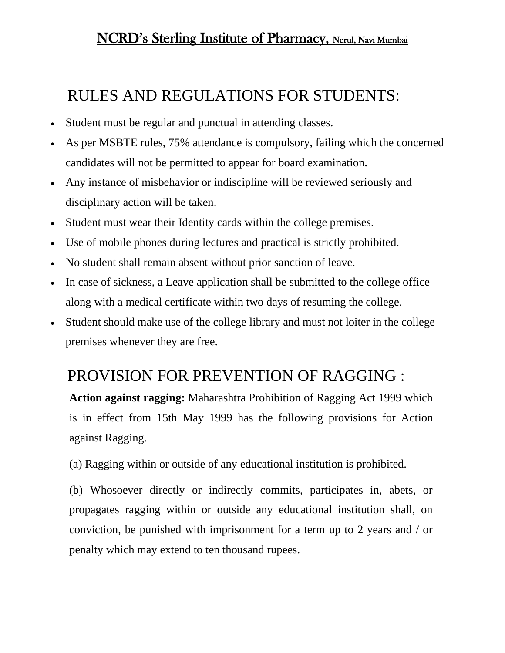## NCRD's Sterling Institute of Pharmacy, Nerul, Navi Mumbai

## RULES AND REGULATIONS FOR STUDENTS:

- Student must be regular and punctual in attending classes.
- As per MSBTE rules, 75% attendance is compulsory, failing which the concerned candidates will not be permitted to appear for board examination.
- Any instance of misbehavior or indiscipline will be reviewed seriously and disciplinary action will be taken.
- Student must wear their Identity cards within the college premises.
- Use of mobile phones during lectures and practical is strictly prohibited.
- No student shall remain absent without prior sanction of leave.
- In case of sickness, a Leave application shall be submitted to the college office along with a medical certificate within two days of resuming the college.
- Student should make use of the college library and must not loiter in the college premises whenever they are free.

# PROVISION FOR PREVENTION OF RAGGING :

**Action against ragging:** Maharashtra Prohibition of Ragging Act 1999 which is in effect from 15th May 1999 has the following provisions for Action against Ragging.

(a) Ragging within or outside of any educational institution is prohibited.

(b) Whosoever directly or indirectly commits, participates in, abets, or propagates ragging within or outside any educational institution shall, on conviction, be punished with imprisonment for a term up to 2 years and / or penalty which may extend to ten thousand rupees.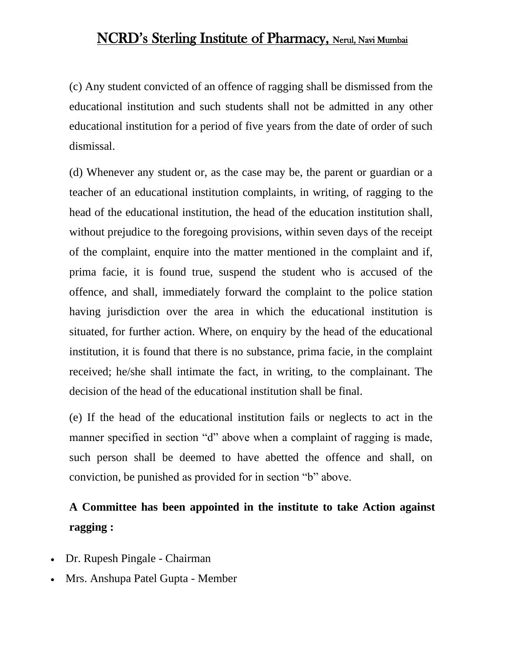### NCRD's Sterling Institute of Pharmacy, Nerul, Navi Mumbai

(c) Any student convicted of an offence of ragging shall be dismissed from the educational institution and such students shall not be admitted in any other educational institution for a period of five years from the date of order of such dismissal.

(d) Whenever any student or, as the case may be, the parent or guardian or a teacher of an educational institution complaints, in writing, of ragging to the head of the educational institution, the head of the education institution shall, without prejudice to the foregoing provisions, within seven days of the receipt of the complaint, enquire into the matter mentioned in the complaint and if, prima facie, it is found true, suspend the student who is accused of the offence, and shall, immediately forward the complaint to the police station having jurisdiction over the area in which the educational institution is situated, for further action. Where, on enquiry by the head of the educational institution, it is found that there is no substance, prima facie, in the complaint received; he/she shall intimate the fact, in writing, to the complainant. The decision of the head of the educational institution shall be final.

(e) If the head of the educational institution fails or neglects to act in the manner specified in section "d" above when a complaint of ragging is made, such person shall be deemed to have abetted the offence and shall, on conviction, be punished as provided for in section "b" above.

## **A Committee has been appointed in the institute to take Action against ragging :**

- Dr. Rupesh Pingale Chairman
- Mrs. Anshupa Patel Gupta Member